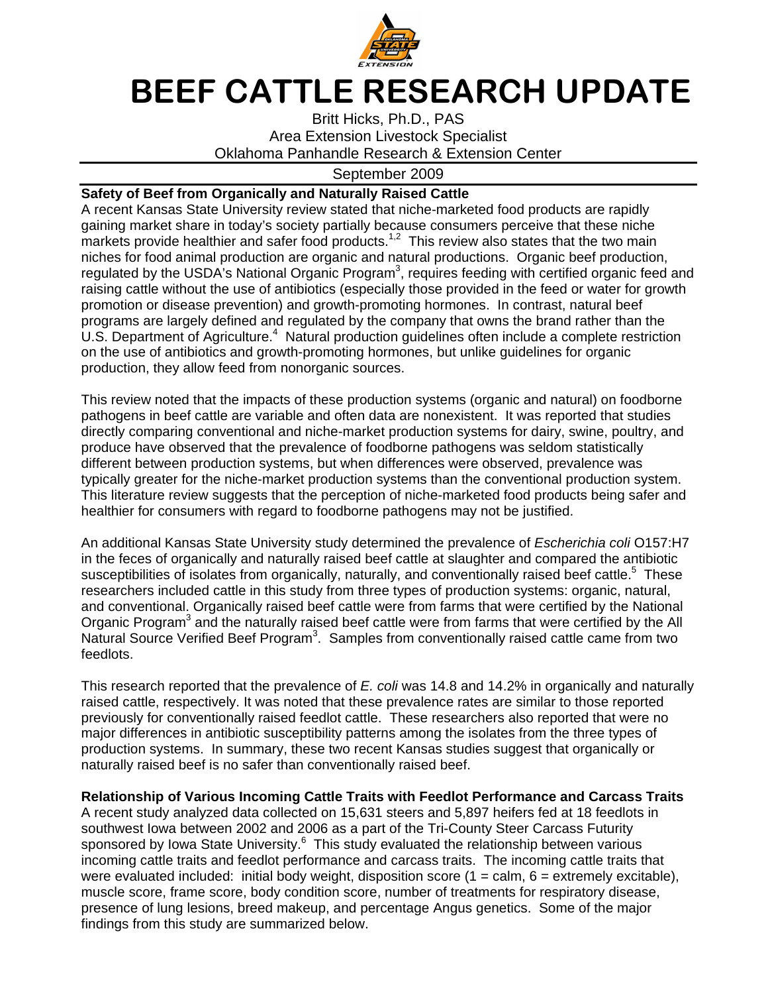

## BEEF CATTLE RESEARCH UPDATE

Britt Hicks, Ph.D., PAS Area Extension Livestock Specialist Oklahoma Panhandle Research & Extension Center

## September 2009

## **Safety of Beef from Organically and Naturally Raised Cattle**

A recent Kansas State University review stated that niche-marketed food products are rapidly gaining market share in today's society partially because consumers perceive that these niche markets provide healthier and safer food products.<sup>1,2</sup> This review also states that the two main niches for food animal production are organic and natural productions. Organic beef production, regulated by the USDA's National Organic Program<sup>3</sup>, requires feeding with certified organic feed and raising cattle without the use of antibiotics (especially those provided in the feed or water for growth promotion or disease prevention) and growth-promoting hormones. In contrast, natural beef programs are largely defined and regulated by the company that owns the brand rather than the U.S. Department of Agriculture.<sup>4</sup> Natural production guidelines often include a complete restriction on the use of antibiotics and growth-promoting hormones, but unlike guidelines for organic production, they allow feed from nonorganic sources.

This review noted that the impacts of these production systems (organic and natural) on foodborne pathogens in beef cattle are variable and often data are nonexistent. It was reported that studies directly comparing conventional and niche-market production systems for dairy, swine, poultry, and produce have observed that the prevalence of foodborne pathogens was seldom statistically different between production systems, but when differences were observed, prevalence was typically greater for the niche-market production systems than the conventional production system. This literature review suggests that the perception of niche-marketed food products being safer and healthier for consumers with regard to foodborne pathogens may not be justified.

An additional Kansas State University study determined the prevalence of Escherichia coli O157:H7 in the feces of organically and naturally raised beef cattle at slaughter and compared the antibiotic susceptibilities of isolates from organically, naturally, and conventionally raised beef cattle.<sup>5</sup> These researchers included cattle in this study from three types of production systems: organic, natural, and conventional. Organically raised beef cattle were from farms that were certified by the National Organic Program<sup>3</sup> and the naturally raised beef cattle were from farms that were certified by the All Natural Source Verified Beef Program<sup>3</sup>. Samples from conventionally raised cattle came from two feedlots.

This research reported that the prevalence of E. coli was 14.8 and 14.2% in organically and naturally raised cattle, respectively. It was noted that these prevalence rates are similar to those reported previously for conventionally raised feedlot cattle. These researchers also reported that were no major differences in antibiotic susceptibility patterns among the isolates from the three types of production systems. In summary, these two recent Kansas studies suggest that organically or naturally raised beef is no safer than conventionally raised beef.

## **Relationship of Various Incoming Cattle Traits with Feedlot Performance and Carcass Traits**

A recent study analyzed data collected on 15,631 steers and 5,897 heifers fed at 18 feedlots in southwest Iowa between 2002 and 2006 as a part of the Tri-County Steer Carcass Futurity sponsored by Iowa State University.<sup>6</sup> This study evaluated the relationship between various incoming cattle traits and feedlot performance and carcass traits. The incoming cattle traits that were evaluated included: initial body weight, disposition score  $(1 = \text{calm}, 6 = \text{extremely excitable})$ , muscle score, frame score, body condition score, number of treatments for respiratory disease, presence of lung lesions, breed makeup, and percentage Angus genetics. Some of the major findings from this study are summarized below.